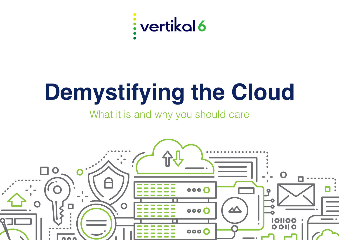

# **Demystifying the Cloud**

## What it is and why you should care

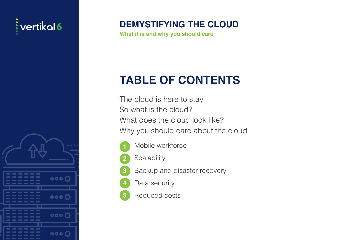

 $0000$ 

 $0000$ 

 $0000$ 

 $000C$ 

### **DEMYSTIFYING THE CLOUD**

**What it is and why you should care**

## **TABLE OF CONTENTS**

The cloud is here to stay So what is the cloud? What does the cloud look like? Why you should care about the cloud

- Mobile workforce **1**
- **Scalability 2**
- Backup and disaster recovery **3**
- Data security **4**

**5**

Reduced costs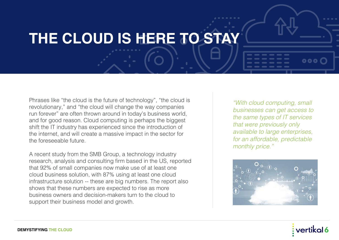# **THE CLOUD IS HERE TO STAY**

Phrases like "the cloud is the future of technology", "the cloud is revolutionary," and "the cloud will change the way companies run forever" are often thrown around in today's business world, and for good reason. Cloud computing is perhaps the biggest shift the IT industry has experienced since the introduction of the internet, and will create a massive impact in the sector for the foreseeable future.

A recent study from the SMB Group, a technology industry research, analysis and consulting firm based in the US, reported that 92% of small companies now make use of at least one cloud business solution, with 87% using at least one cloud infrastructure solution -- these are big numbers. The report also shows that these numbers are expected to rise as more business owners and decision-makers turn to the cloud to support their business model and growth.

*"With cloud computing, small businesses can get access to the same types of IT services that were previously only available to large enterprises, for an affordable, predictable monthly price."*



vertikal 6

**000 C**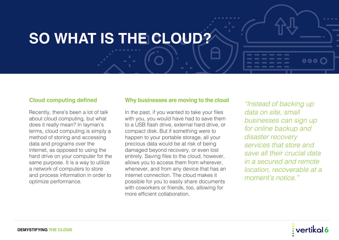# **SO WHAT IS THE CLOUD?**

#### **Cloud computing defined**

Recently, there's been a lot of talk about cloud computing, but what does it really mean? In layman's terms, cloud computing is simply a method of storing and accessing data and programs over the internet, as opposed to using the hard drive on your computer for the same purpose. It is a way to utilize a network of computers to store and process information in order to optimize performance.

#### **Why businesses are moving to the cloud**

In the past, if you wanted to take your files with you, you would have had to save them to a USB flash drive, external hard drive, or compact disk. But if something were to happen to your portable storage, all your precious data would be at risk of being damaged beyond recovery, or even lost entirely. Saving files to the cloud, however, allows you to access them from wherever, whenever, and from any device that has an internet connection. The cloud makes it possible for you to easily share documents with coworkers or friends, too, allowing for more efficient collaboration.

*"Instead of backing up data on site, small businesses can sign up for online backup and disaster recovery services that store and save all their crucial data in a secured and remote location, recoverable at a moment's notice."*

 $000C$ 

vertikal 6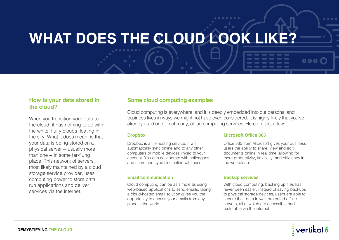# **WHAT DOES THE CLOUD LOOK LIKE?**

### **How is your data stored in the cloud?**

When you transition your data to the cloud, it has nothing to do with the white, fluffy clouds floating in the sky. What it does mean, is that your data is being stored on a physical server -- usually more than one -- in some far-flung place. This network of servers, most likely maintained by a cloud storage service provider, uses computing power to store data, run applications and deliver services via the internet.

### **Some cloud computing examples**

Cloud computing is everywhere, and it is deeply embedded into our personal and business lives in ways we might not have even considered. It is highly likely that you've already used one, if not many, cloud computing services. Here are just a few:

Dropbox is a file hosting service. It will automatically sync online and to any other computers or mobile devices linked to your account. You can collaborate with colleagues, and share and sync files online with ease.

#### **Email communication by Backup services**

Cloud computing can be as simple as using web-based applications to send emails. Using a cloud-hosted email solution gives you the opportunity to access your emails from any place in the world.

#### **Dropbox Microsoft Office 365**

Office 365 from Microsoft gives your business users the ability to share, view and edit documents online in real time, allowing for more productivity, flexibility, and efficiency in the workplace.

With cloud computing, backing up files has never been easier. Instead of saving backups to physical storage devices, users are able to secure their data in well-protected offsite servers, all of which are accessible and restorable via the internet.



 $000C$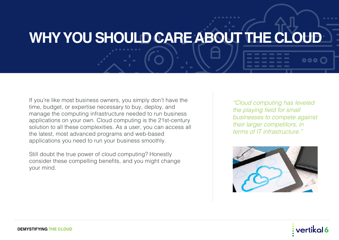# **WHY YOU SHOULD CARE ABOUT THE CLOUD**

If you're like most business owners, you simply don't have the time, budget, or expertise necessary to buy, deploy, and manage the computing infrastructure needed to run business applications on your own. Cloud computing is the 21st-century solution to all these complexities. As a user, you can access all the latest, most advanced programs and web-based applications you need to run your business smoothly.

Still doubt the true power of cloud computing? Honestly consider these compelling benefits, and you might change your mind.

*"Cloud computing has leveled the playing field for small businesses to compete against their larger competitors, in terms of IT infrastructure."*





 $000C$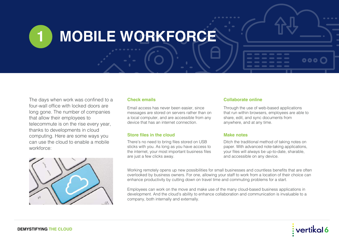

## **MOBILE WORKFORCE**

The days when work was confined to a four-wall office with locked doors are long gone. The number of companies that allow their employees to telecommute is on the rise every year, thanks to developments in cloud computing. Here are some ways you can use the cloud to enable a mobile workforce:



Email access has never been easier, since messages are stored on servers rather than on a local computer, and are accessible from any device that has an internet connection.

#### **Store files in the cloud Make notes**

There's no need to bring files stored on USB sticks with you. As long as you have access to the internet, your most important business files are just a few clicks away.

#### **Check emails Collaborate online**

Through the use of web-based applications that run within browsers, employees are able to share, edit, and sync documents from anywhere, and at any time.

 $000C$ 

vertikal

Ditch the traditional method of taking notes on paper. With advanced note-taking applications, your files will always be up-to-date, sharable, and accessible on any device.

Working remotely opens up new possibilities for small businesses and countless benefits that are often overlooked by business owners. For one, allowing your staff to work from a location of their choice can enhance productivity by cutting down on travel time and commuting problems for a start.

Employees can work on the move and make use of the many cloud-based business applications in development. And the cloud's ability to enhance collaboration and communication is invaluable to a company, both internally and externally.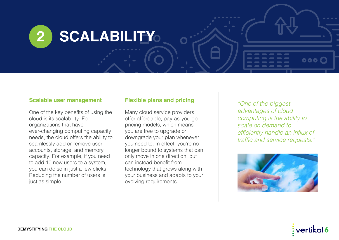

#### **Scalable user management**

One of the key benefits of using the cloud is its scalability. For organizations that have ever-changing computing capacity needs, the cloud offers the ability to seamlessly add or remove user accounts, storage, and memory capacity. For example, if you need to add 10 new users to a system, you can do so in just a few clicks. Reducing the number of users is just as simple.

#### **Flexible plans and pricing**

 $\Box$ 

Many cloud service providers offer affordable, pay-as-you-go pricing models, which means you are free to upgrade or downgrade your plan whenever you need to. In effect, you're no longer bound to systems that can only move in one direction, but can instead benefit from technology that grows along with your business and adapts to your evolving requirements.

*"One of the biggest advantages of cloud computing is the ability to scale on demand to efficiently handle an influx of traffic and service requests."*

 $000C$ 

vertikal 6

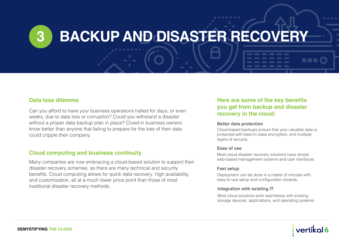

#### **Data loss dilemma**

**3**

Can you afford to have your business operations halted for days, or even weeks, due to data loss or corruption? Could you withstand a disaster without a proper data backup plan in place? Clued-in business owners know better than anyone that failing to prepare for the loss of their data could cripple their company.

### **Cloud computing and business continuity**

Many companies are now embracing a cloud-based solution to support their disaster recovery schemes, as there are many technical and security benefits. Cloud computing allows for quick data recovery, high availability, and customization, all at a much lower price point than those of most traditional disaster recovery methods.

### **Here are some of the key benefits you get from backup and disaster**

**000 C** 

vertikal

#### **Better data protection**

Cloud-based backups ensure that your valuable data is protected with best-in-class encryption, and multiple layers of security.

#### **Ease of use**

Most cloud disaster recovery solutions have simple web-based management systems and user interfaces.

#### **Fast setup**

Deployment can be done in a matter of minutes with easy-to-use setup and configuration wizards.

#### **Integration with existing IT**

Most cloud solutions work seamlessly with existing storage devices, applications, and operating systems.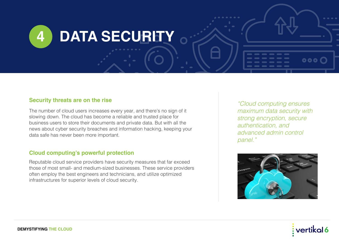

#### **Security threats are on the rise**

The number of cloud users increases every year, and there's no sign of it slowing down. The cloud has become a reliable and trusted place for business users to store their documents and private data. But with all the news about cyber security breaches and information hacking, keeping your data safe has never been more important.

### **Cloud computing's powerful protection**

Reputable cloud service providers have security measures that far exceed those of most small- and medium-sized businesses. These service providers often employ the best engineers and technicians, and utilize optimized infrastructures for superior levels of cloud security.

*"Cloud computing ensures maximum data security with strong encryption, secure authentication, and advanced admin control panel."*

 $000C$ 

vertikal 6

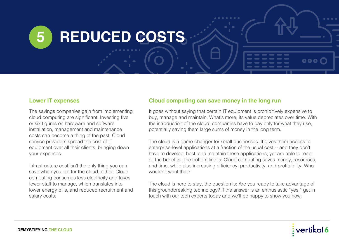

#### **Lower IT expenses**

The savings companies gain from implementing cloud computing are significant. Investing five or six figures on hardware and software installation, management and maintenance costs can become a thing of the past. Cloud service providers spread the cost of IT equipment over all their clients, bringing down your expenses.

Infrastructure cost isn't the only thing you can save when you opt for the cloud, either. Cloud computing consumes less electricity and takes fewer staff to manage, which translates into lower energy bills, and reduced recruitment and salary costs.

#### **Cloud computing can save money in the long run**

It goes without saying that certain IT equipment is prohibitively expensive to buy, manage and maintain. What's more, its value depreciates over time. With the introduction of the cloud, companies have to pay only for what they use, potentially saving them large sums of money in the long term.

 $000C$ 

vertikal

The cloud is a game-changer for small businesses. It gives them access to enterprise-level applications at a fraction of the usual cost -- and they don't have to develop, host, and maintain these applications, yet are able to reap all the benefits. The bottom line is: Cloud computing saves money, resources, and time, while also increasing efficiency, productivity, and profitability. Who wouldn't want that?

The cloud is here to stay, the question is: Are you ready to take advantage of this groundbreaking technology? If the answer is an enthusiastic "yes," get in touch with our tech experts today and we'll be happy to show you how.